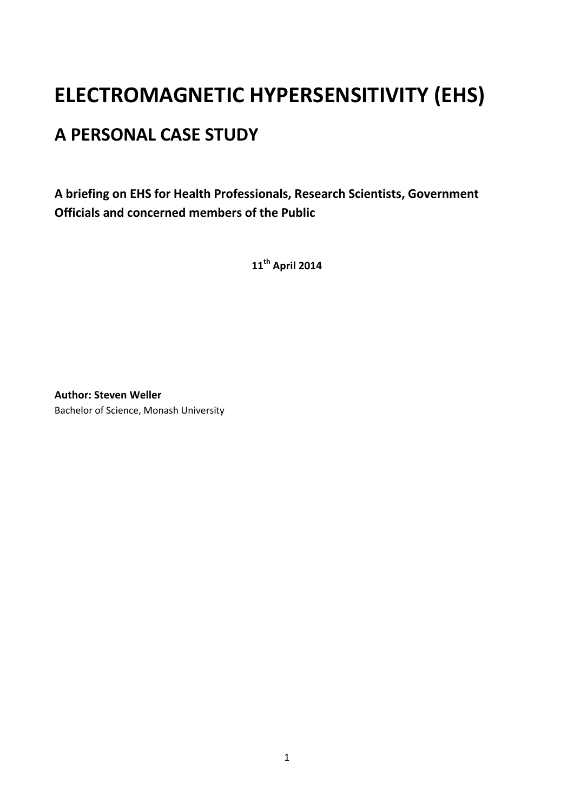# **ELECTROMAGNETIC HYPERSENSITIVITY (EHS)**

## **A PERSONAL CASE STUDY**

**A briefing on EHS for Health Professionals, Research Scientists, Government Officials and concerned members of the Public**

**11th April 2014**

**Author: Steven Weller**  Bachelor of Science, Monash University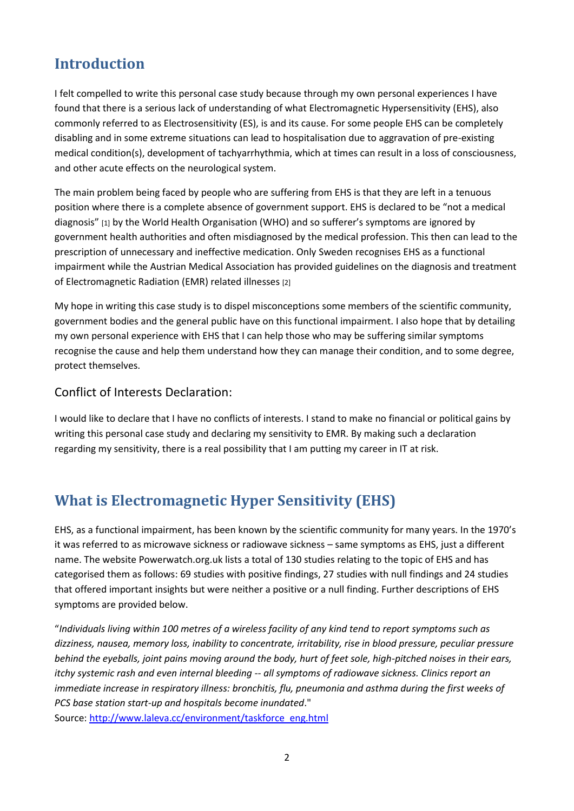### **Introduction**

I felt compelled to write this personal case study because through my own personal experiences I have found that there is a serious lack of understanding of what Electromagnetic Hypersensitivity (EHS), also commonly referred to as Electrosensitivity (ES), is and its cause. For some people EHS can be completely disabling and in some extreme situations can lead to hospitalisation due to aggravation of pre-existing medical condition(s), development of tachyarrhythmia, which at times can result in a loss of consciousness, and other acute effects on the neurological system.

The main problem being faced by people who are suffering from EHS is that they are left in a tenuous position where there is a complete absence of government support. EHS is declared to be "not a medical diagnosis" [1] by the World Health Organisation (WHO) and so sufferer's symptoms are ignored by government health authorities and often misdiagnosed by the medical profession. This then can lead to the prescription of unnecessary and ineffective medication. Only Sweden recognises EHS as a functional impairment while the Austrian Medical Association has provided guidelines on the diagnosis and treatment of Electromagnetic Radiation (EMR) related illnesses [2]

My hope in writing this case study is to dispel misconceptions some members of the scientific community, government bodies and the general public have on this functional impairment. I also hope that by detailing my own personal experience with EHS that I can help those who may be suffering similar symptoms recognise the cause and help them understand how they can manage their condition, and to some degree, protect themselves.

#### Conflict of Interests Declaration:

I would like to declare that I have no conflicts of interests. I stand to make no financial or political gains by writing this personal case study and declaring my sensitivity to EMR. By making such a declaration regarding my sensitivity, there is a real possibility that I am putting my career in IT at risk.

#### **What is Electromagnetic Hyper Sensitivity (EHS)**

EHS, as a functional impairment, has been known by the scientific community for many years. In the 1970's it was referred to as microwave sickness or radiowave sickness – same symptoms as EHS, just a different name. The website Powerwatch.org.uk lists a total of 130 studies relating to the topic of EHS and has categorised them as follows: 69 studies with positive findings, 27 studies with null findings and 24 studies that offered important insights but were neither a positive or a null finding. Further descriptions of EHS symptoms are provided below.

"*Individuals living within 100 metres of a wireless facility of any kind tend to report symptoms such as dizziness, nausea, memory loss, inability to concentrate, irritability, rise in blood pressure, peculiar pressure behind the eyeballs, joint pains moving around the body, hurt of feet sole, high-pitched noises in their ears, itchy systemic rash and even internal bleeding -- all symptoms of radiowave sickness. Clinics report an immediate increase in respiratory illness: bronchitis, flu, pneumonia and asthma during the first weeks of PCS base station start-up and hospitals become inundated*."

Source: [http://www.laleva.cc/environment/taskforce\\_eng.html](http://www.laleva.cc/environment/taskforce_eng.html)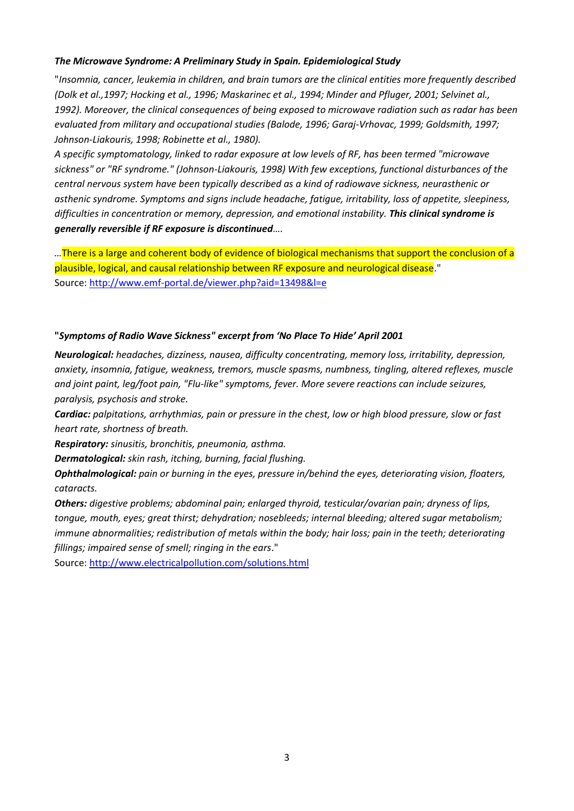#### *The Microwave Syndrome: A Preliminary Study in Spain. Epidemiological Study*

"*Insomnia, cancer, leukemia in children, and brain tumors are the clinical entities more frequently described (Dolk et al.,1997; Hocking et al., 1996; Maskarinec et al., 1994; Minder and Pfluger, 2001; Selvinet al., 1992). Moreover, the clinical consequences of being exposed to microwave radiation such as radar has been evaluated from military and occupational studies (Balode, 1996; Garaj-Vrhovac, 1999; Goldsmith, 1997; Johnson-Liakouris, 1998; Robinette et al., 1980).*

*A specific symptomatology, linked to radar exposure at low levels of RF, has been termed "microwave sickness" or "RF syndrome." (Johnson-Liakouris, 1998) With few exceptions, functional disturbances of the central nervous system have been typically described as a kind of radiowave sickness, neurasthenic or asthenic syndrome. Symptoms and signs include headache, fatigue, irritability, loss of appetite, sleepiness, difficulties in concentration or memory, depression, and emotional instability. This clinical syndrome is generally reversible if RF exposure is discontinued….*

*…*There is a large and coherent body of evidence of biological mechanisms that support the conclusion of a plausible, logical, and causal relationship between RF exposure and neurological disease." Source[: http://www.emf-portal.de/viewer.php?aid=13498&l=e](http://www.emf-portal.de/viewer.php?aid=13498&l=e)

#### **"***Symptoms of Radio Wave Sickness" excerpt from 'No Place To Hide' April 2001*

*Neurological: headaches, dizziness, nausea, difficulty concentrating, memory loss, irritability, depression, anxiety, insomnia, fatigue, weakness, tremors, muscle spasms, numbness, tingling, altered reflexes, muscle and joint paint, leg/foot pain, "Flu-like" symptoms, fever. More severe reactions can include seizures, paralysis, psychosis and stroke.*

*Cardiac: palpitations, arrhythmias, pain or pressure in the chest, low or high blood pressure, slow or fast heart rate, shortness of breath.*

*Respiratory: sinusitis, bronchitis, pneumonia, asthma.*

*Dermatological: skin rash, itching, burning, facial flushing.*

*Ophthalmological: pain or burning in the eyes, pressure in/behind the eyes, deteriorating vision, floaters, cataracts.*

*Others: digestive problems; abdominal pain; enlarged thyroid, testicular/ovarian pain; dryness of lips, tongue, mouth, eyes; great thirst; dehydration; nosebleeds; internal bleeding; altered sugar metabolism; immune abnormalities; redistribution of metals within the body; hair loss; pain in the teeth; deteriorating fillings; impaired sense of smell; ringing in the ears*."

Source[: http://www.electricalpollution.com/solutions.html](http://www.electricalpollution.com/solutions.html)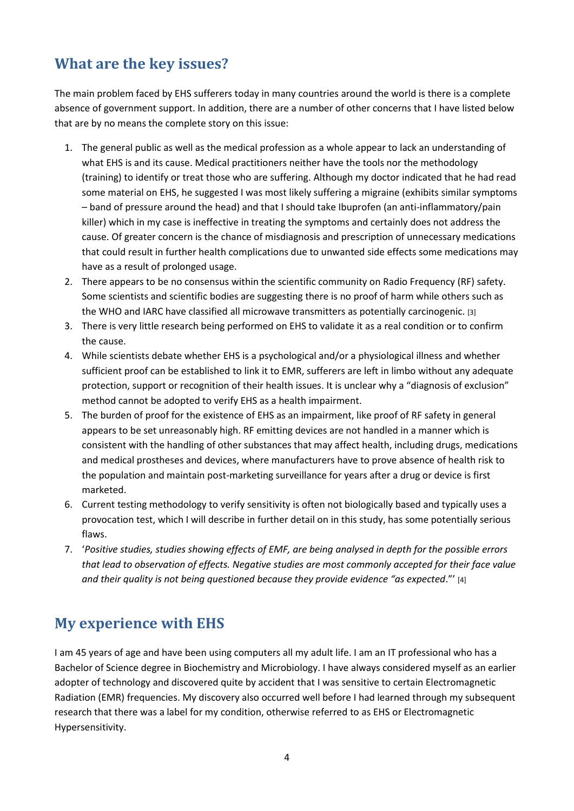### **What are the key issues?**

The main problem faced by EHS sufferers today in many countries around the world is there is a complete absence of government support. In addition, there are a number of other concerns that I have listed below that are by no means the complete story on this issue:

- 1. The general public as well as the medical profession as a whole appear to lack an understanding of what EHS is and its cause. Medical practitioners neither have the tools nor the methodology (training) to identify or treat those who are suffering. Although my doctor indicated that he had read some material on EHS, he suggested I was most likely suffering a migraine (exhibits similar symptoms – band of pressure around the head) and that I should take Ibuprofen (an anti-inflammatory/pain killer) which in my case is ineffective in treating the symptoms and certainly does not address the cause. Of greater concern is the chance of misdiagnosis and prescription of unnecessary medications that could result in further health complications due to unwanted side effects some medications may have as a result of prolonged usage.
- 2. There appears to be no consensus within the scientific community on Radio Frequency (RF) safety. Some scientists and scientific bodies are suggesting there is no proof of harm while others such as the WHO and IARC have classified all microwave transmitters as potentially carcinogenic. [3]
- 3. There is very little research being performed on EHS to validate it as a real condition or to confirm the cause.
- 4. While scientists debate whether EHS is a psychological and/or a physiological illness and whether sufficient proof can be established to link it to EMR, sufferers are left in limbo without any adequate protection, support or recognition of their health issues. It is unclear why a "diagnosis of exclusion" method cannot be adopted to verify EHS as a health impairment.
- 5. The burden of proof for the existence of EHS as an impairment, like proof of RF safety in general appears to be set unreasonably high. RF emitting devices are not handled in a manner which is consistent with the handling of other substances that may affect health, including drugs, medications and medical prostheses and devices, where manufacturers have to prove absence of health risk to the population and maintain post-marketing surveillance for years after a drug or device is first marketed.
- 6. Current testing methodology to verify sensitivity is often not biologically based and typically uses a provocation test, which I will describe in further detail on in this study, has some potentially serious flaws.
- 7. '*Positive studies, studies showing effects of EMF, are being analysed in depth for the possible errors that lead to observation of effects. Negative studies are most commonly accepted for their face value and their quality is not being questioned because they provide evidence "as expected*."' [4]

#### **My experience with EHS**

I am 45 years of age and have been using computers all my adult life. I am an IT professional who has a Bachelor of Science degree in Biochemistry and Microbiology. I have always considered myself as an earlier adopter of technology and discovered quite by accident that I was sensitive to certain Electromagnetic Radiation (EMR) frequencies. My discovery also occurred well before I had learned through my subsequent research that there was a label for my condition, otherwise referred to as EHS or Electromagnetic Hypersensitivity.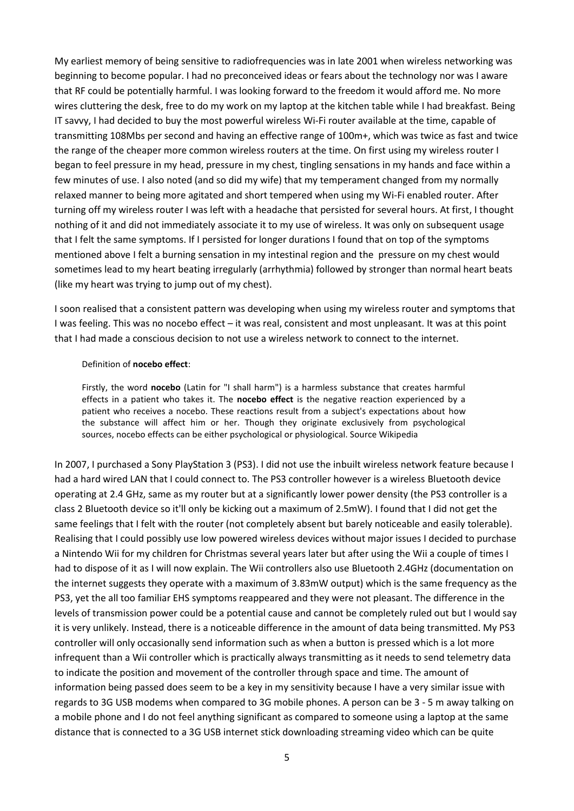My earliest memory of being sensitive to radiofrequencies was in late 2001 when wireless networking was beginning to become popular. I had no preconceived ideas or fears about the technology nor was I aware that RF could be potentially harmful. I was looking forward to the freedom it would afford me. No more wires cluttering the desk, free to do my work on my laptop at the kitchen table while I had breakfast. Being IT savvy, I had decided to buy the most powerful wireless Wi-Fi router available at the time, capable of transmitting 108Mbs per second and having an effective range of 100m+, which was twice as fast and twice the range of the cheaper more common wireless routers at the time. On first using my wireless router I began to feel pressure in my head, pressure in my chest, tingling sensations in my hands and face within a few minutes of use. I also noted (and so did my wife) that my temperament changed from my normally relaxed manner to being more agitated and short tempered when using my Wi-Fi enabled router. After turning off my wireless router I was left with a headache that persisted for several hours. At first, I thought nothing of it and did not immediately associate it to my use of wireless. It was only on subsequent usage that I felt the same symptoms. If I persisted for longer durations I found that on top of the symptoms mentioned above I felt a burning sensation in my intestinal region and the pressure on my chest would sometimes lead to my heart beating irregularly (arrhythmia) followed by stronger than normal heart beats (like my heart was trying to jump out of my chest).

I soon realised that a consistent pattern was developing when using my wireless router and symptoms that I was feeling. This was no nocebo effect – it was real, consistent and most unpleasant. It was at this point that I had made a conscious decision to not use a wireless network to connect to the internet.

#### Definition of **nocebo effect**:

Firstly, the word **nocebo** (Latin for "I shall harm") is a harmless substance that creates harmful effects in a patient who takes it. The **nocebo effect** is the negative reaction experienced by a patient who receives a nocebo. These reactions result from a subject's expectations about how the substance will affect him or her. Though they originate exclusively from psychological sources, nocebo effects can be either psychological or physiological. Source Wikipedia

In 2007, I purchased a Sony PlayStation 3 (PS3). I did not use the inbuilt wireless network feature because I had a hard wired LAN that I could connect to. The PS3 controller however is a wireless Bluetooth device operating at 2.4 GHz, same as my router but at a significantly lower power density (the PS3 controller is a class 2 Bluetooth device so it'll only be kicking out a maximum of 2.5mW). I found that I did not get the same feelings that I felt with the router (not completely absent but barely noticeable and easily tolerable). Realising that I could possibly use low powered wireless devices without major issues I decided to purchase a Nintendo Wii for my children for Christmas several years later but after using the Wii a couple of times I had to dispose of it as I will now explain. The Wii controllers also use Bluetooth 2.4GHz (documentation on the internet suggests they operate with a maximum of 3.83mW output) which is the same frequency as the PS3, yet the all too familiar EHS symptoms reappeared and they were not pleasant. The difference in the levels of transmission power could be a potential cause and cannot be completely ruled out but I would say it is very unlikely. Instead, there is a noticeable difference in the amount of data being transmitted. My PS3 controller will only occasionally send information such as when a button is pressed which is a lot more infrequent than a Wii controller which is practically always transmitting as it needs to send telemetry data to indicate the position and movement of the controller through space and time. The amount of information being passed does seem to be a key in my sensitivity because I have a very similar issue with regards to 3G USB modems when compared to 3G mobile phones. A person can be 3 - 5 m away talking on a mobile phone and I do not feel anything significant as compared to someone using a laptop at the same distance that is connected to a 3G USB internet stick downloading streaming video which can be quite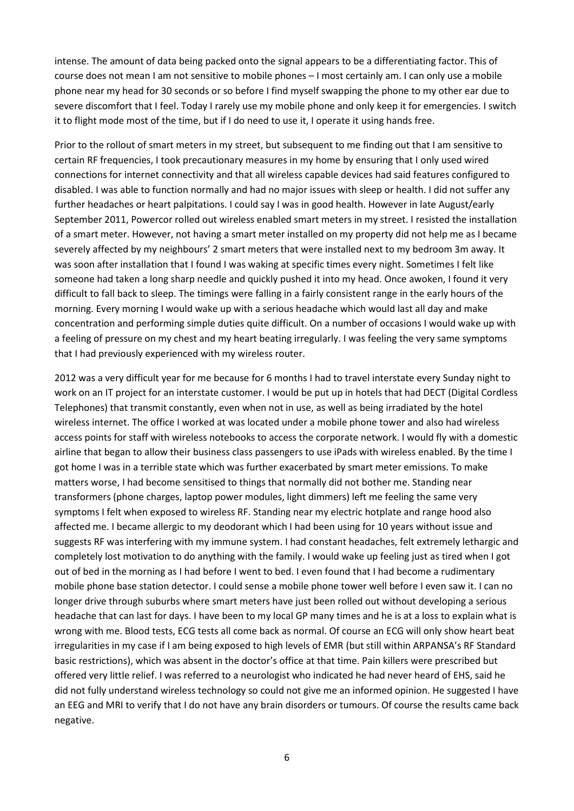intense. The amount of data being packed onto the signal appears to be a differentiating factor. This of course does not mean I am not sensitive to mobile phones – I most certainly am. I can only use a mobile phone near my head for 30 seconds or so before I find myself swapping the phone to my other ear due to severe discomfort that I feel. Today I rarely use my mobile phone and only keep it for emergencies. I switch it to flight mode most of the time, but if I do need to use it, I operate it using hands free.

Prior to the rollout of smart meters in my street, but subsequent to me finding out that I am sensitive to certain RF frequencies, I took precautionary measures in my home by ensuring that I only used wired connections for internet connectivity and that all wireless capable devices had said features configured to disabled. I was able to function normally and had no major issues with sleep or health. I did not suffer any further headaches or heart palpitations. I could say I was in good health. However in late August/early September 2011, Powercor rolled out wireless enabled smart meters in my street. I resisted the installation of a smart meter. However, not having a smart meter installed on my property did not help me as I became severely affected by my neighbours' 2 smart meters that were installed next to my bedroom 3m away. It was soon after installation that I found I was waking at specific times every night. Sometimes I felt like someone had taken a long sharp needle and quickly pushed it into my head. Once awoken, I found it very difficult to fall back to sleep. The timings were falling in a fairly consistent range in the early hours of the morning. Every morning I would wake up with a serious headache which would last all day and make concentration and performing simple duties quite difficult. On a number of occasions I would wake up with a feeling of pressure on my chest and my heart beating irregularly. I was feeling the very same symptoms that I had previously experienced with my wireless router.

2012 was a very difficult year for me because for 6 months I had to travel interstate every Sunday night to work on an IT project for an interstate customer. I would be put up in hotels that had DECT (Digital Cordless Telephones) that transmit constantly, even when not in use, as well as being irradiated by the hotel wireless internet. The office I worked at was located under a mobile phone tower and also had wireless access points for staff with wireless notebooks to access the corporate network. I would fly with a domestic airline that began to allow their business class passengers to use iPads with wireless enabled. By the time I got home I was in a terrible state which was further exacerbated by smart meter emissions. To make matters worse, I had become sensitised to things that normally did not bother me. Standing near transformers (phone charges, laptop power modules, light dimmers) left me feeling the same very symptoms I felt when exposed to wireless RF. Standing near my electric hotplate and range hood also affected me. I became allergic to my deodorant which I had been using for 10 years without issue and suggests RF was interfering with my immune system. I had constant headaches, felt extremely lethargic and completely lost motivation to do anything with the family. I would wake up feeling just as tired when I got out of bed in the morning as I had before I went to bed. I even found that I had become a rudimentary mobile phone base station detector. I could sense a mobile phone tower well before I even saw it. I can no longer drive through suburbs where smart meters have just been rolled out without developing a serious headache that can last for days. I have been to my local GP many times and he is at a loss to explain what is wrong with me. Blood tests, ECG tests all come back as normal. Of course an ECG will only show heart beat irregularities in my case if I am being exposed to high levels of EMR (but still within ARPANSA's RF Standard basic restrictions), which was absent in the doctor's office at that time. Pain killers were prescribed but offered very little relief. I was referred to a neurologist who indicated he had never heard of EHS, said he did not fully understand wireless technology so could not give me an informed opinion. He suggested I have an EEG and MRI to verify that I do not have any brain disorders or tumours. Of course the results came back negative.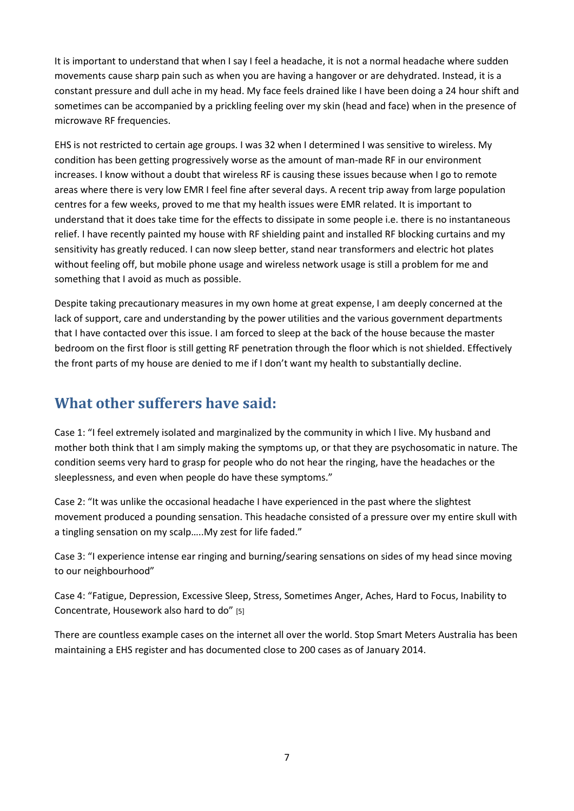It is important to understand that when I say I feel a headache, it is not a normal headache where sudden movements cause sharp pain such as when you are having a hangover or are dehydrated. Instead, it is a constant pressure and dull ache in my head. My face feels drained like I have been doing a 24 hour shift and sometimes can be accompanied by a prickling feeling over my skin (head and face) when in the presence of microwave RF frequencies.

EHS is not restricted to certain age groups. I was 32 when I determined I was sensitive to wireless. My condition has been getting progressively worse as the amount of man-made RF in our environment increases. I know without a doubt that wireless RF is causing these issues because when I go to remote areas where there is very low EMR I feel fine after several days. A recent trip away from large population centres for a few weeks, proved to me that my health issues were EMR related. It is important to understand that it does take time for the effects to dissipate in some people i.e. there is no instantaneous relief. I have recently painted my house with RF shielding paint and installed RF blocking curtains and my sensitivity has greatly reduced. I can now sleep better, stand near transformers and electric hot plates without feeling off, but mobile phone usage and wireless network usage is still a problem for me and something that I avoid as much as possible.

Despite taking precautionary measures in my own home at great expense, I am deeply concerned at the lack of support, care and understanding by the power utilities and the various government departments that I have contacted over this issue. I am forced to sleep at the back of the house because the master bedroom on the first floor is still getting RF penetration through the floor which is not shielded. Effectively the front parts of my house are denied to me if I don't want my health to substantially decline.

#### **What other sufferers have said:**

Case 1: "I feel extremely isolated and marginalized by the community in which I live. My husband and mother both think that I am simply making the symptoms up, or that they are psychosomatic in nature. The condition seems very hard to grasp for people who do not hear the ringing, have the headaches or the sleeplessness, and even when people do have these symptoms."

Case 2: "It was unlike the occasional headache I have experienced in the past where the slightest movement produced a pounding sensation. This headache consisted of a pressure over my entire skull with a tingling sensation on my scalp…..My zest for life faded."

Case 3: "I experience intense ear ringing and burning/searing sensations on sides of my head since moving to our neighbourhood"

Case 4: "Fatigue, Depression, Excessive Sleep, Stress, Sometimes Anger, Aches, Hard to Focus, Inability to Concentrate, Housework also hard to do" [5]

There are countless example cases on the internet all over the world. Stop Smart Meters Australia has been maintaining a EHS register and has documented close to 200 cases as of January 2014.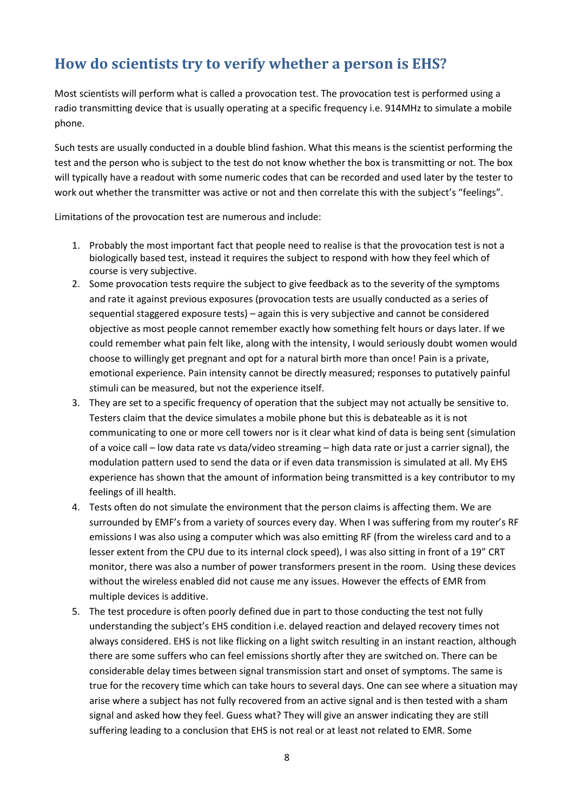### **How do scientists try to verify whether a person is EHS?**

Most scientists will perform what is called a provocation test. The provocation test is performed using a radio transmitting device that is usually operating at a specific frequency i.e. 914MHz to simulate a mobile phone.

Such tests are usually conducted in a double blind fashion. What this means is the scientist performing the test and the person who is subject to the test do not know whether the box is transmitting or not. The box will typically have a readout with some numeric codes that can be recorded and used later by the tester to work out whether the transmitter was active or not and then correlate this with the subject's "feelings".

Limitations of the provocation test are numerous and include:

- 1. Probably the most important fact that people need to realise is that the provocation test is not a biologically based test, instead it requires the subject to respond with how they feel which of course is very subjective.
- 2. Some provocation tests require the subject to give feedback as to the severity of the symptoms and rate it against previous exposures (provocation tests are usually conducted as a series of sequential staggered exposure tests) – again this is very subjective and cannot be considered objective as most people cannot remember exactly how something felt hours or days later. If we could remember what pain felt like, along with the intensity, I would seriously doubt women would choose to willingly get pregnant and opt for a natural birth more than once! Pain is a private, emotional experience. Pain intensity cannot be directly measured; responses to putatively painful stimuli can be measured, but not the experience itself.
- 3. They are set to a specific frequency of operation that the subject may not actually be sensitive to. Testers claim that the device simulates a mobile phone but this is debateable as it is not communicating to one or more cell towers nor is it clear what kind of data is being sent (simulation of a voice call – low data rate vs data/video streaming – high data rate or just a carrier signal), the modulation pattern used to send the data or if even data transmission is simulated at all. My EHS experience has shown that the amount of information being transmitted is a key contributor to my feelings of ill health.
- 4. Tests often do not simulate the environment that the person claims is affecting them. We are surrounded by EMF's from a variety of sources every day. When I was suffering from my router's RF emissions I was also using a computer which was also emitting RF (from the wireless card and to a lesser extent from the CPU due to its internal clock speed), I was also sitting in front of a 19" CRT monitor, there was also a number of power transformers present in the room. Using these devices without the wireless enabled did not cause me any issues. However the effects of EMR from multiple devices is additive.
- 5. The test procedure is often poorly defined due in part to those conducting the test not fully understanding the subject's EHS condition i.e. delayed reaction and delayed recovery times not always considered. EHS is not like flicking on a light switch resulting in an instant reaction, although there are some suffers who can feel emissions shortly after they are switched on. There can be considerable delay times between signal transmission start and onset of symptoms. The same is true for the recovery time which can take hours to several days. One can see where a situation may arise where a subject has not fully recovered from an active signal and is then tested with a sham signal and asked how they feel. Guess what? They will give an answer indicating they are still suffering leading to a conclusion that EHS is not real or at least not related to EMR. Some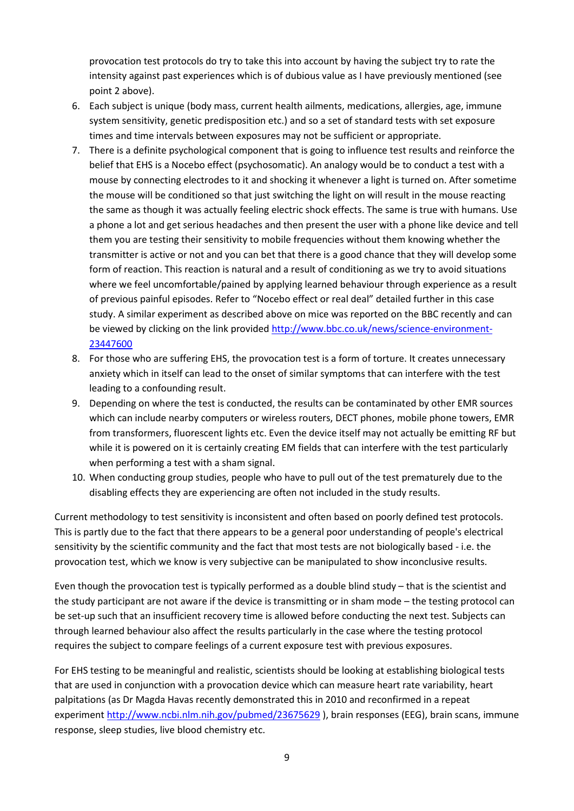provocation test protocols do try to take this into account by having the subject try to rate the intensity against past experiences which is of dubious value as I have previously mentioned (see point 2 above).

- 6. Each subject is unique (body mass, current health ailments, medications, allergies, age, immune system sensitivity, genetic predisposition etc.) and so a set of standard tests with set exposure times and time intervals between exposures may not be sufficient or appropriate.
- 7. There is a definite psychological component that is going to influence test results and reinforce the belief that EHS is a Nocebo effect (psychosomatic). An analogy would be to conduct a test with a mouse by connecting electrodes to it and shocking it whenever a light is turned on. After sometime the mouse will be conditioned so that just switching the light on will result in the mouse reacting the same as though it was actually feeling electric shock effects. The same is true with humans. Use a phone a lot and get serious headaches and then present the user with a phone like device and tell them you are testing their sensitivity to mobile frequencies without them knowing whether the transmitter is active or not and you can bet that there is a good chance that they will develop some form of reaction. This reaction is natural and a result of conditioning as we try to avoid situations where we feel uncomfortable/pained by applying learned behaviour through experience as a result of previous painful episodes. Refer to "Nocebo effect or real deal" detailed further in this case study. A similar experiment as described above on mice was reported on the BBC recently and can be viewed by clicking on the link provided [http://www.bbc.co.uk/news/science-environment-](http://www.bbc.co.uk/news/science-environment-23447600)[23447600](http://www.bbc.co.uk/news/science-environment-23447600)
- 8. For those who are suffering EHS, the provocation test is a form of torture. It creates unnecessary anxiety which in itself can lead to the onset of similar symptoms that can interfere with the test leading to a confounding result.
- 9. Depending on where the test is conducted, the results can be contaminated by other EMR sources which can include nearby computers or wireless routers, DECT phones, mobile phone towers, EMR from transformers, fluorescent lights etc. Even the device itself may not actually be emitting RF but while it is powered on it is certainly creating EM fields that can interfere with the test particularly when performing a test with a sham signal.
- 10. When conducting group studies, people who have to pull out of the test prematurely due to the disabling effects they are experiencing are often not included in the study results.

Current methodology to test sensitivity is inconsistent and often based on poorly defined test protocols. This is partly due to the fact that there appears to be a general poor understanding of people's electrical sensitivity by the scientific community and the fact that most tests are not biologically based - i.e. the provocation test, which we know is very subjective can be manipulated to show inconclusive results.

Even though the provocation test is typically performed as a double blind study – that is the scientist and the study participant are not aware if the device is transmitting or in sham mode – the testing protocol can be set-up such that an insufficient recovery time is allowed before conducting the next test. Subjects can through learned behaviour also affect the results particularly in the case where the testing protocol requires the subject to compare feelings of a current exposure test with previous exposures.

For EHS testing to be meaningful and realistic, scientists should be looking at establishing biological tests that are used in conjunction with a provocation device which can measure heart rate variability, heart palpitations (as Dr Magda Havas recently demonstrated this in 2010 and reconfirmed in a repeat experiment<http://www.ncbi.nlm.nih.gov/pubmed/23675629> ), brain responses (EEG), brain scans, immune response, sleep studies, live blood chemistry etc.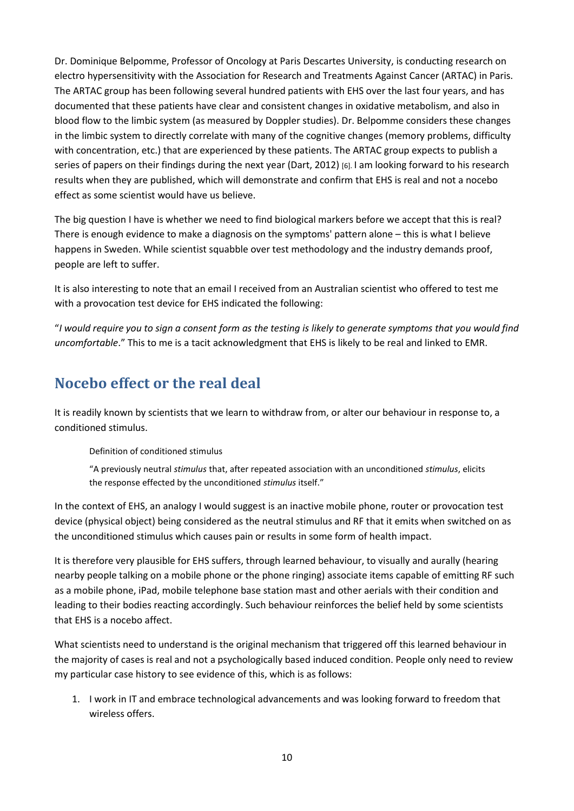Dr. Dominique Belpomme, Professor of Oncology at Paris Descartes University, is conducting research on electro hypersensitivity with the Association for Research and Treatments Against Cancer (ARTAC) in Paris. The ARTAC group has been following several hundred patients with EHS over the last four years, and has documented that these patients have clear and consistent changes in oxidative metabolism, and also in blood flow to the limbic system (as measured by Doppler studies). Dr. Belpomme considers these changes in the limbic system to directly correlate with many of the cognitive changes (memory problems, difficulty with concentration, etc.) that are experienced by these patients. The ARTAC group expects to publish a series of papers on their findings during the next year (Dart, 2012) [6]. I am looking forward to his research results when they are published, which will demonstrate and confirm that EHS is real and not a nocebo effect as some scientist would have us believe.

The big question I have is whether we need to find biological markers before we accept that this is real? There is enough evidence to make a diagnosis on the symptoms' pattern alone – this is what I believe happens in Sweden. While scientist squabble over test methodology and the industry demands proof, people are left to suffer.

It is also interesting to note that an email I received from an Australian scientist who offered to test me with a provocation test device for EHS indicated the following:

"*I would require you to sign a consent form as the testing is likely to generate symptoms that you would find uncomfortable*." This to me is a tacit acknowledgment that EHS is likely to be real and linked to EMR.

#### **Nocebo effect or the real deal**

It is readily known by scientists that we learn to withdraw from, or alter our behaviour in response to, a conditioned stimulus.

Definition of conditioned stimulus

"A previously neutral *stimulus* that, after repeated association with an unconditioned *stimulus*, elicits the response effected by the unconditioned *stimulus* itself."

In the context of EHS, an analogy I would suggest is an inactive mobile phone, router or provocation test device (physical object) being considered as the neutral stimulus and RF that it emits when switched on as the unconditioned stimulus which causes pain or results in some form of health impact.

It is therefore very plausible for EHS suffers, through learned behaviour, to visually and aurally (hearing nearby people talking on a mobile phone or the phone ringing) associate items capable of emitting RF such as a mobile phone, iPad, mobile telephone base station mast and other aerials with their condition and leading to their bodies reacting accordingly. Such behaviour reinforces the belief held by some scientists that EHS is a nocebo affect.

What scientists need to understand is the original mechanism that triggered off this learned behaviour in the majority of cases is real and not a psychologically based induced condition. People only need to review my particular case history to see evidence of this, which is as follows:

1. I work in IT and embrace technological advancements and was looking forward to freedom that wireless offers.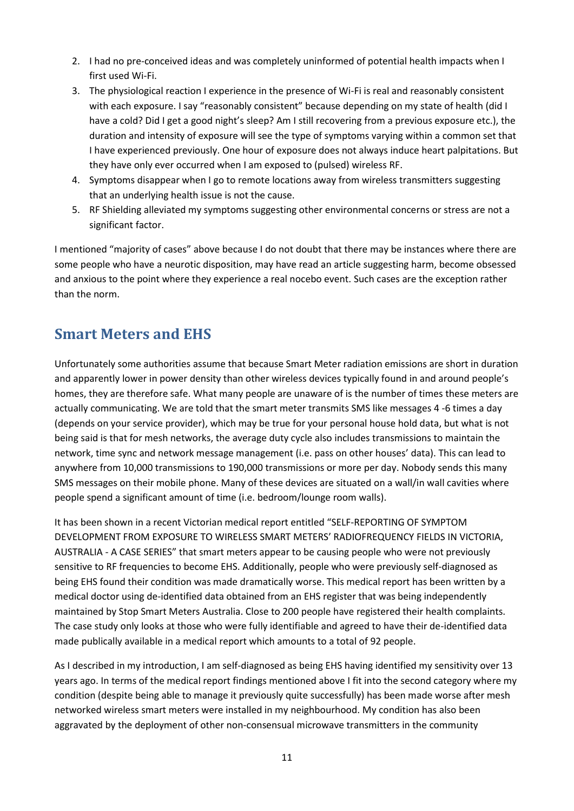- 2. I had no pre-conceived ideas and was completely uninformed of potential health impacts when I first used Wi-Fi.
- 3. The physiological reaction I experience in the presence of Wi-Fi is real and reasonably consistent with each exposure. I say "reasonably consistent" because depending on my state of health (did I have a cold? Did I get a good night's sleep? Am I still recovering from a previous exposure etc.), the duration and intensity of exposure will see the type of symptoms varying within a common set that I have experienced previously. One hour of exposure does not always induce heart palpitations. But they have only ever occurred when I am exposed to (pulsed) wireless RF.
- 4. Symptoms disappear when I go to remote locations away from wireless transmitters suggesting that an underlying health issue is not the cause.
- 5. RF Shielding alleviated my symptoms suggesting other environmental concerns or stress are not a significant factor.

I mentioned "majority of cases" above because I do not doubt that there may be instances where there are some people who have a neurotic disposition, may have read an article suggesting harm, become obsessed and anxious to the point where they experience a real nocebo event. Such cases are the exception rather than the norm.

### **Smart Meters and EHS**

Unfortunately some authorities assume that because Smart Meter radiation emissions are short in duration and apparently lower in power density than other wireless devices typically found in and around people's homes, they are therefore safe. What many people are unaware of is the number of times these meters are actually communicating. We are told that the smart meter transmits SMS like messages 4 -6 times a day (depends on your service provider), which may be true for your personal house hold data, but what is not being said is that for mesh networks, the average duty cycle also includes transmissions to maintain the network, time sync and network message management (i.e. pass on other houses' data). This can lead to anywhere from 10,000 transmissions to 190,000 transmissions or more per day. Nobody sends this many SMS messages on their mobile phone. Many of these devices are situated on a wall/in wall cavities where people spend a significant amount of time (i.e. bedroom/lounge room walls).

It has been shown in a recent Victorian medical report entitled "SELF-REPORTING OF SYMPTOM DEVELOPMENT FROM EXPOSURE TO WIRELESS SMART METERS' RADIOFREQUENCY FIELDS IN VICTORIA, AUSTRALIA - A CASE SERIES" that smart meters appear to be causing people who were not previously sensitive to RF frequencies to become EHS. Additionally, people who were previously self-diagnosed as being EHS found their condition was made dramatically worse. This medical report has been written by a medical doctor using de-identified data obtained from an EHS register that was being independently maintained by Stop Smart Meters Australia. Close to 200 people have registered their health complaints. The case study only looks at those who were fully identifiable and agreed to have their de-identified data made publically available in a medical report which amounts to a total of 92 people.

As I described in my introduction, I am self-diagnosed as being EHS having identified my sensitivity over 13 years ago. In terms of the medical report findings mentioned above I fit into the second category where my condition (despite being able to manage it previously quite successfully) has been made worse after mesh networked wireless smart meters were installed in my neighbourhood. My condition has also been aggravated by the deployment of other non-consensual microwave transmitters in the community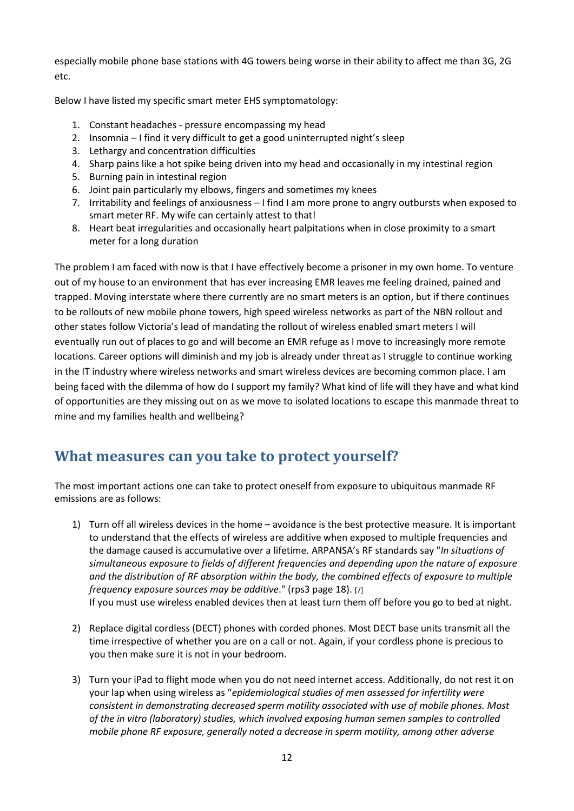especially mobile phone base stations with 4G towers being worse in their ability to affect me than 3G, 2G etc.

Below I have listed my specific smart meter EHS symptomatology:

- 1. Constant headaches pressure encompassing my head
- 2. Insomnia I find it very difficult to get a good uninterrupted night's sleep
- 3. Lethargy and concentration difficulties
- 4. Sharp pains like a hot spike being driven into my head and occasionally in my intestinal region
- 5. Burning pain in intestinal region
- 6. Joint pain particularly my elbows, fingers and sometimes my knees
- 7. Irritability and feelings of anxiousness I find I am more prone to angry outbursts when exposed to smart meter RF. My wife can certainly attest to that!
- 8. Heart beat irregularities and occasionally heart palpitations when in close proximity to a smart meter for a long duration

The problem I am faced with now is that I have effectively become a prisoner in my own home. To venture out of my house to an environment that has ever increasing EMR leaves me feeling drained, pained and trapped. Moving interstate where there currently are no smart meters is an option, but if there continues to be rollouts of new mobile phone towers, high speed wireless networks as part of the NBN rollout and other states follow Victoria's lead of mandating the rollout of wireless enabled smart meters I will eventually run out of places to go and will become an EMR refuge as I move to increasingly more remote locations. Career options will diminish and my job is already under threat as I struggle to continue working in the IT industry where wireless networks and smart wireless devices are becoming common place. I am being faced with the dilemma of how do I support my family? What kind of life will they have and what kind of opportunities are they missing out on as we move to isolated locations to escape this manmade threat to mine and my families health and wellbeing?

#### **What measures can you take to protect yourself?**

The most important actions one can take to protect oneself from exposure to ubiquitous manmade RF emissions are as follows:

- 1) Turn off all wireless devices in the home avoidance is the best protective measure. It is important to understand that the effects of wireless are additive when exposed to multiple frequencies and the damage caused is accumulative over a lifetime. ARPANSA's RF standards say "*In situations of simultaneous exposure to fields of different frequencies and depending upon the nature of exposure and the distribution of RF absorption within the body, the combined effects of exposure to multiple frequency exposure sources may be additive*." (rps3 page 18). [7]
	- If you must use wireless enabled devices then at least turn them off before you go to bed at night.
- 2) Replace digital cordless (DECT) phones with corded phones. Most DECT base units transmit all the time irrespective of whether you are on a call or not. Again, if your cordless phone is precious to you then make sure it is not in your bedroom.
- 3) Turn your iPad to flight mode when you do not need internet access. Additionally, do not rest it on your lap when using wireless as "*epidemiological studies of men assessed for infertility were consistent in demonstrating decreased sperm motility associated with use of mobile phones. Most of the in vitro (laboratory) studies, which involved exposing human semen samples to controlled mobile phone RF exposure, generally noted a decrease in sperm motility, among other adverse*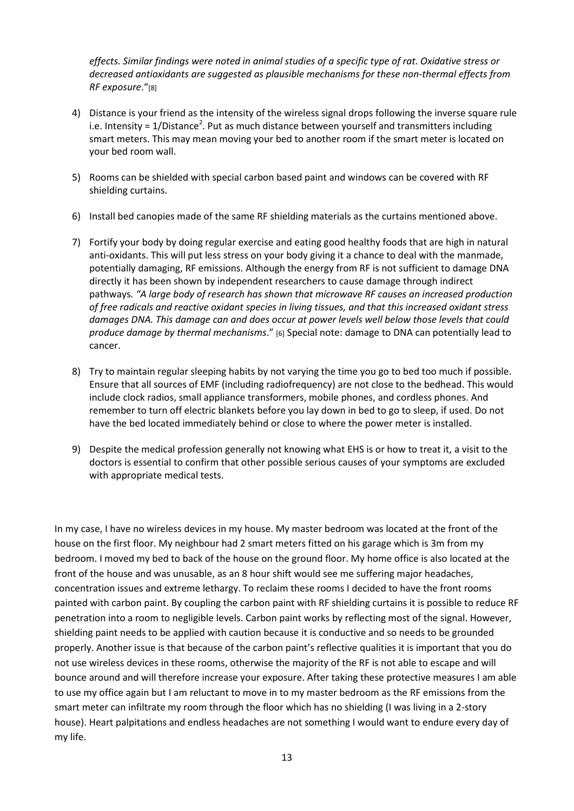*effects. Similar findings were noted in animal studies of a specific type of rat. Oxidative stress or decreased antioxidants are suggested as plausible mechanisms for these non-thermal effects from RF exposure*."[8]

- 4) Distance is your friend as the intensity of the wireless signal drops following the inverse square rule i.e. Intensity =  $1/D$ istance<sup>2</sup>. Put as much distance between yourself and transmitters including smart meters. This may mean moving your bed to another room if the smart meter is located on your bed room wall.
- 5) Rooms can be shielded with special carbon based paint and windows can be covered with RF shielding curtains.
- 6) Install bed canopies made of the same RF shielding materials as the curtains mentioned above.
- 7) Fortify your body by doing regular exercise and eating good healthy foods that are high in natural anti-oxidants. This will put less stress on your body giving it a chance to deal with the manmade, potentially damaging, RF emissions. Although the energy from RF is not sufficient to damage DNA directly it has been shown by independent researchers to cause damage through indirect pathways*. "A large body of research has shown that microwave RF causes an increased production of free radicals and reactive oxidant species in living tissues, and that this increased oxidant stress damages DNA. This damage can and does occur at power levels well below those levels that could produce damage by thermal mechanisms*." [6] Special note: damage to DNA can potentially lead to cancer.
- 8) Try to maintain regular sleeping habits by not varying the time you go to bed too much if possible. Ensure that all sources of EMF (including radiofrequency) are not close to the bedhead. This would include clock radios, small appliance transformers, mobile phones, and cordless phones. And remember to turn off electric blankets before you lay down in bed to go to sleep, if used. Do not have the bed located immediately behind or close to where the power meter is installed.
- 9) Despite the medical profession generally not knowing what EHS is or how to treat it, a visit to the doctors is essential to confirm that other possible serious causes of your symptoms are excluded with appropriate medical tests.

In my case, I have no wireless devices in my house. My master bedroom was located at the front of the house on the first floor. My neighbour had 2 smart meters fitted on his garage which is 3m from my bedroom. I moved my bed to back of the house on the ground floor. My home office is also located at the front of the house and was unusable, as an 8 hour shift would see me suffering major headaches, concentration issues and extreme lethargy. To reclaim these rooms I decided to have the front rooms painted with carbon paint. By coupling the carbon paint with RF shielding curtains it is possible to reduce RF penetration into a room to negligible levels. Carbon paint works by reflecting most of the signal. However, shielding paint needs to be applied with caution because it is conductive and so needs to be grounded properly. Another issue is that because of the carbon paint's reflective qualities it is important that you do not use wireless devices in these rooms, otherwise the majority of the RF is not able to escape and will bounce around and will therefore increase your exposure. After taking these protective measures I am able to use my office again but I am reluctant to move in to my master bedroom as the RF emissions from the smart meter can infiltrate my room through the floor which has no shielding (I was living in a 2-story house). Heart palpitations and endless headaches are not something I would want to endure every day of my life.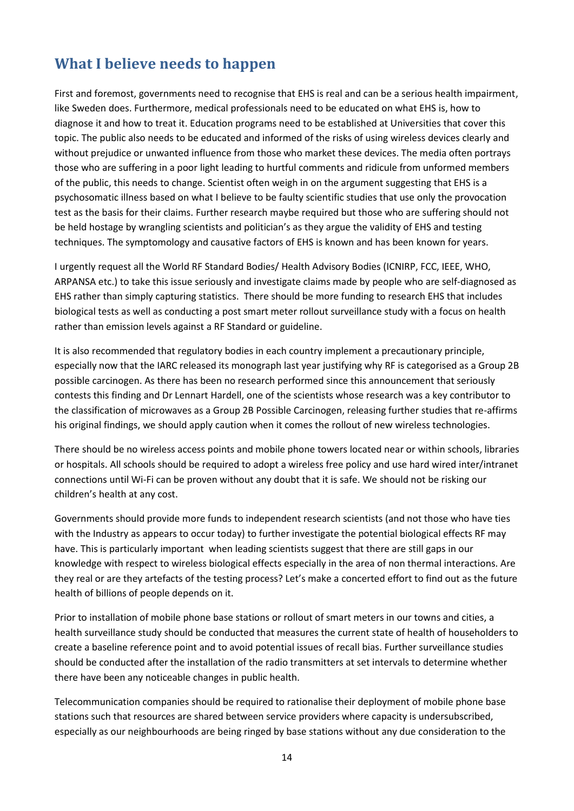### **What I believe needs to happen**

First and foremost, governments need to recognise that EHS is real and can be a serious health impairment, like Sweden does. Furthermore, medical professionals need to be educated on what EHS is, how to diagnose it and how to treat it. Education programs need to be established at Universities that cover this topic. The public also needs to be educated and informed of the risks of using wireless devices clearly and without prejudice or unwanted influence from those who market these devices. The media often portrays those who are suffering in a poor light leading to hurtful comments and ridicule from unformed members of the public, this needs to change. Scientist often weigh in on the argument suggesting that EHS is a psychosomatic illness based on what I believe to be faulty scientific studies that use only the provocation test as the basis for their claims. Further research maybe required but those who are suffering should not be held hostage by wrangling scientists and politician's as they argue the validity of EHS and testing techniques. The symptomology and causative factors of EHS is known and has been known for years.

I urgently request all the World RF Standard Bodies/ Health Advisory Bodies (ICNIRP, FCC, IEEE, WHO, ARPANSA etc.) to take this issue seriously and investigate claims made by people who are self-diagnosed as EHS rather than simply capturing statistics. There should be more funding to research EHS that includes biological tests as well as conducting a post smart meter rollout surveillance study with a focus on health rather than emission levels against a RF Standard or guideline.

It is also recommended that regulatory bodies in each country implement a precautionary principle, especially now that the IARC released its monograph last year justifying why RF is categorised as a Group 2B possible carcinogen. As there has been no research performed since this announcement that seriously contests this finding and Dr Lennart Hardell, one of the scientists whose research was a key contributor to the classification of microwaves as a Group 2B Possible Carcinogen, releasing further studies that re-affirms his original findings, we should apply caution when it comes the rollout of new wireless technologies.

There should be no wireless access points and mobile phone towers located near or within schools, libraries or hospitals. All schools should be required to adopt a wireless free policy and use hard wired inter/intranet connections until Wi-Fi can be proven without any doubt that it is safe. We should not be risking our children's health at any cost.

Governments should provide more funds to independent research scientists (and not those who have ties with the Industry as appears to occur today) to further investigate the potential biological effects RF may have. This is particularly important when leading scientists suggest that there are still gaps in our knowledge with respect to wireless biological effects especially in the area of non thermal interactions. Are they real or are they artefacts of the testing process? Let's make a concerted effort to find out as the future health of billions of people depends on it.

Prior to installation of mobile phone base stations or rollout of smart meters in our towns and cities, a health surveillance study should be conducted that measures the current state of health of householders to create a baseline reference point and to avoid potential issues of recall bias. Further surveillance studies should be conducted after the installation of the radio transmitters at set intervals to determine whether there have been any noticeable changes in public health.

Telecommunication companies should be required to rationalise their deployment of mobile phone base stations such that resources are shared between service providers where capacity is undersubscribed, especially as our neighbourhoods are being ringed by base stations without any due consideration to the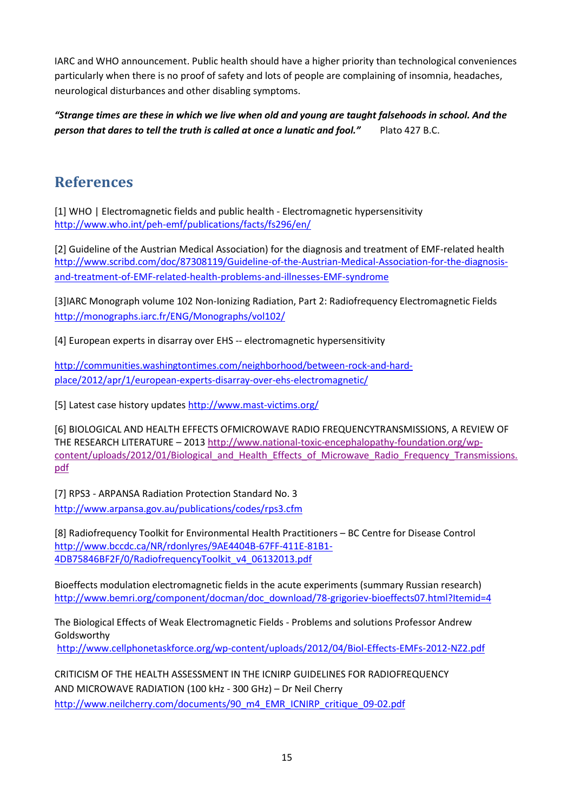IARC and WHO announcement. Public health should have a higher priority than technological conveniences particularly when there is no proof of safety and lots of people are complaining of insomnia, headaches, neurological disturbances and other disabling symptoms.

*"Strange times are these in which we live when old and young are taught falsehoods in school. And the person that dares to tell the truth is called at once a lunatic and fool."* Plato 427 B.C.

#### **References**

[1] WHO | Electromagnetic fields and public health - Electromagnetic hypersensitivity <http://www.who.int/peh-emf/publications/facts/fs296/en/>

[2] Guideline of the Austrian Medical Association) for the diagnosis and treatment of EMF-related health [http://www.scribd.com/doc/87308119/Guideline-of-the-Austrian-Medical-Association-for-the-diagnosis](http://www.scribd.com/doc/87308119/Guideline-of-the-Austrian-Medical-Association-for-the-diagnosis-and-treatment-of-EMF-related-health-problems-and-illnesses-EMF-syndrome)[and-treatment-of-EMF-related-health-problems-and-illnesses-EMF-syndrome](http://www.scribd.com/doc/87308119/Guideline-of-the-Austrian-Medical-Association-for-the-diagnosis-and-treatment-of-EMF-related-health-problems-and-illnesses-EMF-syndrome)

[3]IARC Monograph volume 102 Non-Ionizing Radiation, Part 2: Radiofrequency Electromagnetic Fields <http://monographs.iarc.fr/ENG/Monographs/vol102/>

[4] European experts in disarray over EHS -- electromagnetic hypersensitivity

[http://communities.washingtontimes.com/neighborhood/between-rock-and-hard](http://communities.washingtontimes.com/neighborhood/between-rock-and-hard-place/2012/apr/1/european-experts-disarray-over-ehs-electromagnetic/)[place/2012/apr/1/european-experts-disarray-over-ehs-electromagnetic/](http://communities.washingtontimes.com/neighborhood/between-rock-and-hard-place/2012/apr/1/european-experts-disarray-over-ehs-electromagnetic/)

[5] Latest case history updates<http://www.mast-victims.org/>

[6] BIOLOGICAL AND HEALTH EFFECTS OFMICROWAVE RADIO FREQUENCYTRANSMISSIONS, A REVIEW OF THE RESEARCH LITERATURE – 201[3 http://www.national-toxic-encephalopathy-foundation.org/wp](http://www.national-toxic-encephalopathy-foundation.org/wp-content/uploads/2012/01/Biological_and_Health_Effects_of_Microwave_Radio_Frequency_Transmissions.pdf)content/uploads/2012/01/Biological and Health Effects of Microwave Radio Frequency Transmissions. [pdf](http://www.national-toxic-encephalopathy-foundation.org/wp-content/uploads/2012/01/Biological_and_Health_Effects_of_Microwave_Radio_Frequency_Transmissions.pdf)

[7] RPS3 - [ARPANSA Radiation Protection Standard](http://www.arpansa.gov.au/publications/codes/rps3.cfm) No. 3 <http://www.arpansa.gov.au/publications/codes/rps3.cfm>

[8] Radiofrequency Toolkit for Environmental Health Practitioners – BC Centre for Disease Control [http://www.bccdc.ca/NR/rdonlyres/9AE4404B-67FF-411E-81B1-](http://www.bccdc.ca/NR/rdonlyres/9AE4404B-67FF-411E-81B1-4DB75846BF2F/0/RadiofrequencyToolkit_v4_06132013.pdf) [4DB75846BF2F/0/RadiofrequencyToolkit\\_v4\\_06132013.pdf](http://www.bccdc.ca/NR/rdonlyres/9AE4404B-67FF-411E-81B1-4DB75846BF2F/0/RadiofrequencyToolkit_v4_06132013.pdf)

Bioeffects modulation electromagnetic fields in the acute experiments (summary Russian research) [http://www.bemri.org/component/docman/doc\\_download/78-grigoriev-bioeffects07.html?Itemid=4](http://www.bemri.org/component/docman/doc_download/78-grigoriev-bioeffects07.html?Itemid=4)

The Biological Effects of Weak Electromagnetic Fields - Problems and solutions Professor Andrew Goldsworthy

<http://www.cellphonetaskforce.org/wp-content/uploads/2012/04/Biol-Effects-EMFs-2012-NZ2.pdf>

CRITICISM OF THE HEALTH ASSESSMENT IN THE ICNIRP GUIDELINES FOR RADIOFREQUENCY AND MICROWAVE RADIATION (100 kHz - 300 GHz) – Dr Neil Cherry [http://www.neilcherry.com/documents/90\\_m4\\_EMR\\_ICNIRP\\_critique\\_09-02.pdf](http://www.neilcherry.com/documents/90_m4_EMR_ICNIRP_critique_09-02.pdf)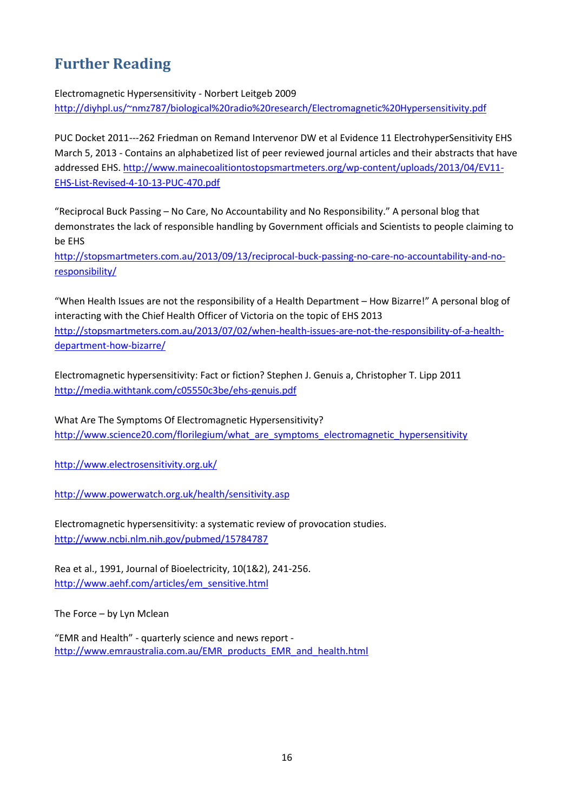### **Further Reading**

Electromagnetic Hypersensitivity - Norbert Leitgeb 2009

<http://diyhpl.us/~nmz787/biological%20radio%20research/Electromagnetic%20Hypersensitivity.pdf>

PUC Docket 2011---262 Friedman on Remand Intervenor DW et al Evidence 11 ElectrohyperSensitivity EHS March 5, 2013 - Contains an alphabetized list of peer reviewed journal articles and their abstracts that have addressed EHS. [http://www.mainecoalitiontostopsmartmeters.org/wp-content/uploads/2013/04/EV11-](http://www.mainecoalitiontostopsmartmeters.org/wp-content/uploads/2013/04/EV11-EHS-List-Revised-4-10-13-PUC-470.pdf) [EHS-List-Revised-4-10-13-PUC-470.pdf](http://www.mainecoalitiontostopsmartmeters.org/wp-content/uploads/2013/04/EV11-EHS-List-Revised-4-10-13-PUC-470.pdf)

"Reciprocal Buck Passing – [No Care, No Accountability and No](http://stopsmartmeters.com.au/2013/09/13/reciprocal-buck-passing-no-care-no-accountability-and-no-responsibility/) Responsibility." A personal blog that demonstrates the lack of responsible handling by Government officials and Scientists to people claiming to be EHS

[http://stopsmartmeters.com.au/2013/09/13/reciprocal-buck-passing-no-care-no-accountability-and-no](http://stopsmartmeters.com.au/2013/09/13/reciprocal-buck-passing-no-care-no-accountability-and-no-responsibility/)[responsibility/](http://stopsmartmeters.com.au/2013/09/13/reciprocal-buck-passing-no-care-no-accountability-and-no-responsibility/)

"[When Health Issues are not the responsibility of a Health Department](http://stopsmartmeters.com.au/2013/07/02/when-health-issues-are-not-the-responsibility-of-a-health-department-how-bizarre/) – How Bizarre!" A personal blog of interacting with the Chief Health Officer of Victoria on the topic of EHS 2013 [http://stopsmartmeters.com.au/2013/07/02/when-health-issues-are-not-the-responsibility-of-a-health](http://stopsmartmeters.com.au/2013/07/02/when-health-issues-are-not-the-responsibility-of-a-health-department-how-bizarre/)[department-how-bizarre/](http://stopsmartmeters.com.au/2013/07/02/when-health-issues-are-not-the-responsibility-of-a-health-department-how-bizarre/)

Electromagnetic hypersensitivity: Fact or fiction? Stephen J. Genuis a, Christopher T. Lipp 2011 <http://media.withtank.com/c05550c3be/ehs-genuis.pdf>

What Are The Symptoms Of Electromagnetic Hypersensitivity? [http://www.science20.com/florilegium/what\\_are\\_symptoms\\_electromagnetic\\_hypersensitivity](http://www.science20.com/florilegium/what_are_symptoms_electromagnetic_hypersensitivity)

<http://www.electrosensitivity.org.uk/>

<http://www.powerwatch.org.uk/health/sensitivity.asp>

Electromagnetic hypersensitivity: a systematic review of provocation studies. <http://www.ncbi.nlm.nih.gov/pubmed/15784787>

Rea et al., 1991, Journal of Bioelectricity, 10(1&2), 241-256. [http://www.aehf.com/articles/em\\_sensitive.html](http://www.aehf.com/articles/em_sensitive.html)

The Force – by Lyn Mclean

"EMR and Health" - quarterly science and news report [http://www.emraustralia.com.au/EMR\\_products\\_EMR\\_and\\_health.html](http://www.emraustralia.com.au/EMR_products_EMR_and_health.html)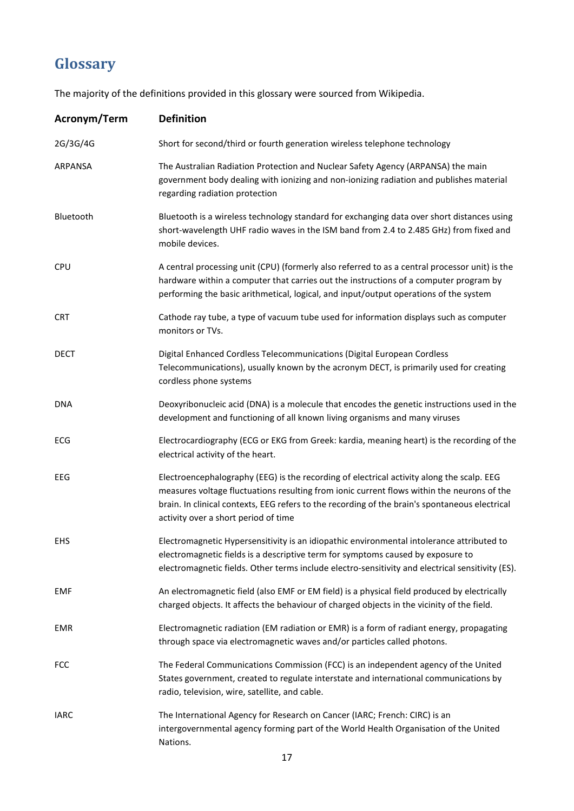## **Glossary**

The majority of the definitions provided in this glossary were sourced from Wikipedia.

| Acronym/Term | <b>Definition</b>                                                                                                                                                                                                                                                                                                                 |
|--------------|-----------------------------------------------------------------------------------------------------------------------------------------------------------------------------------------------------------------------------------------------------------------------------------------------------------------------------------|
| 2G/3G/4G     | Short for second/third or fourth generation wireless telephone technology                                                                                                                                                                                                                                                         |
| ARPANSA      | The Australian Radiation Protection and Nuclear Safety Agency (ARPANSA) the main<br>government body dealing with ionizing and non-ionizing radiation and publishes material<br>regarding radiation protection                                                                                                                     |
| Bluetooth    | Bluetooth is a wireless technology standard for exchanging data over short distances using<br>short-wavelength UHF radio waves in the ISM band from 2.4 to 2.485 GHz) from fixed and<br>mobile devices.                                                                                                                           |
| <b>CPU</b>   | A central processing unit (CPU) (formerly also referred to as a central processor unit) is the<br>hardware within a computer that carries out the instructions of a computer program by<br>performing the basic arithmetical, logical, and input/output operations of the system                                                  |
| <b>CRT</b>   | Cathode ray tube, a type of vacuum tube used for information displays such as computer<br>monitors or TVs.                                                                                                                                                                                                                        |
| DECT         | Digital Enhanced Cordless Telecommunications (Digital European Cordless<br>Telecommunications), usually known by the acronym DECT, is primarily used for creating<br>cordless phone systems                                                                                                                                       |
| DNA          | Deoxyribonucleic acid (DNA) is a molecule that encodes the genetic instructions used in the<br>development and functioning of all known living organisms and many viruses                                                                                                                                                         |
| ECG          | Electrocardiography (ECG or EKG from Greek: kardia, meaning heart) is the recording of the<br>electrical activity of the heart.                                                                                                                                                                                                   |
| EEG          | Electroencephalography (EEG) is the recording of electrical activity along the scalp. EEG<br>measures voltage fluctuations resulting from ionic current flows within the neurons of the<br>brain. In clinical contexts, EEG refers to the recording of the brain's spontaneous electrical<br>activity over a short period of time |
| <b>EHS</b>   | Electromagnetic Hypersensitivity is an idiopathic environmental intolerance attributed to<br>electromagnetic fields is a descriptive term for symptoms caused by exposure to<br>electromagnetic fields. Other terms include electro-sensitivity and electrical sensitivity (ES).                                                  |
| <b>EMF</b>   | An electromagnetic field (also EMF or EM field) is a physical field produced by electrically<br>charged objects. It affects the behaviour of charged objects in the vicinity of the field.                                                                                                                                        |
| <b>EMR</b>   | Electromagnetic radiation (EM radiation or EMR) is a form of radiant energy, propagating<br>through space via electromagnetic waves and/or particles called photons.                                                                                                                                                              |
| <b>FCC</b>   | The Federal Communications Commission (FCC) is an independent agency of the United<br>States government, created to regulate interstate and international communications by<br>radio, television, wire, satellite, and cable.                                                                                                     |
| <b>IARC</b>  | The International Agency for Research on Cancer (IARC; French: CIRC) is an<br>intergovernmental agency forming part of the World Health Organisation of the United<br>Nations.                                                                                                                                                    |